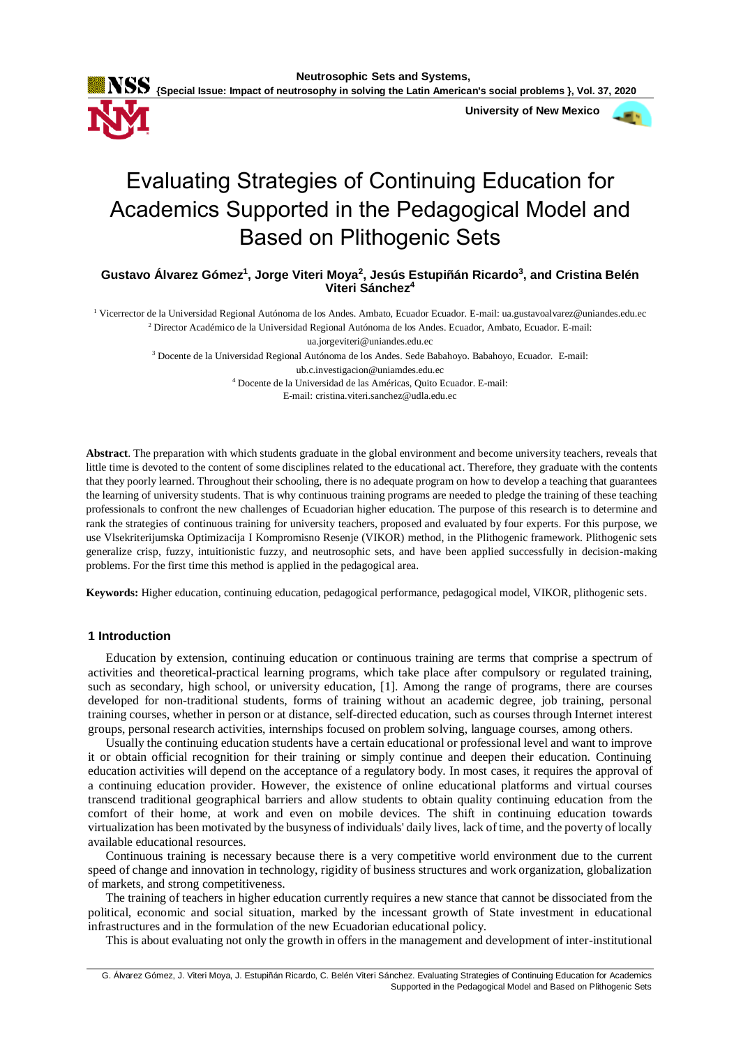

 **University of New Mexico**



# Evaluating Strategies of Continuing Education for Academics Supported in the Pedagogical Model and Based on Plithogenic Sets

**Gustavo Álvarez Gómez<sup>1</sup> , Jorge Viteri Moya<sup>2</sup> , Jesús Estupiñán Ricardo<sup>3</sup> , and Cristina Belén Viteri Sánchez<sup>4</sup>**

<sup>1</sup> Vicerrector de la Universidad Regional Autónoma de los Andes. Ambato, Ecuador Ecuador. E-mail: ua.gustavoalvarez@uniandes.edu.ec <sup>2</sup> Director Académico de la Universidad Regional Autónoma de los Andes. Ecuador, Ambato, Ecuador. E-mail:

ua.jorgeviteri@uniandes.edu.ec

<sup>3</sup> Docente de la Universidad Regional Autónoma de los Andes. Sede Babahoyo. Babahoyo, Ecuador. E-mail:

ub.c.investigacion@uniamdes.edu.ec

<sup>4</sup> Docente de la Universidad de las Américas, Quito Ecuador. E-mail:

E-mail: cristina.viteri.sanchez@udla.edu.ec

**Abstract**. The preparation with which students graduate in the global environment and become university teachers, reveals that little time is devoted to the content of some disciplines related to the educational act. Therefore, they graduate with the contents that they poorly learned. Throughout their schooling, there is no adequate program on how to develop a teaching that guarantees the learning of university students. That is why continuous training programs are needed to pledge the training of these teaching professionals to confront the new challenges of Ecuadorian higher education. The purpose of this research is to determine and rank the strategies of continuous training for university teachers, proposed and evaluated by four experts. For this purpose, we use Vlsekriterijumska Optimizacija I Kompromisno Resenje (VIKOR) method, in the Plithogenic framework. Plithogenic sets generalize crisp, fuzzy, intuitionistic fuzzy, and neutrosophic sets, and have been applied successfully in decision-making problems. For the first time this method is applied in the pedagogical area.

**Keywords:** Higher education, continuing education, pedagogical performance, pedagogical model, VIKOR, plithogenic sets.

#### **1 Introduction**

Education by extension, continuing education or continuous training are terms that comprise a spectrum of activities and theoretical-practical learning programs, which take place after compulsory or regulated training, such as secondary, high school, or university education, [1]. Among the range of programs, there are courses developed for non-traditional students, forms of training without an academic degree, job training, personal training courses, whether in person or at distance, self-directed education, such as courses through Internet interest groups, personal research activities, internships focused on problem solving, language courses, among others.

Usually the continuing education students have a certain educational or professional level and want to improve it or obtain official recognition for their training or simply continue and deepen their education. Continuing education activities will depend on the acceptance of a regulatory body. In most cases, it requires the approval of a continuing education provider. However, the existence of online educational platforms and virtual courses transcend traditional geographical barriers and allow students to obtain quality continuing education from the comfort of their home, at work and even on mobile devices. The shift in continuing education towards virtualization has been motivated by the busyness of individuals' daily lives, lack of time, and the poverty of locally available educational resources.

Continuous training is necessary because there is a very competitive world environment due to the current speed of change and innovation in technology, rigidity of business structures and work organization, globalization of markets, and strong competitiveness.

The training of teachers in higher education currently requires a new stance that cannot be dissociated from the political, economic and social situation, marked by the incessant growth of State investment in educational infrastructures and in the formulation of the new Ecuadorian educational policy.

This is about evaluating not only the growth in offers in the management and development of inter-institutional

G. Álvarez Gómez, J. Viteri Moya, J. Estupiñán Ricardo, C. Belén Viteri Sánchez. Evaluating Strategies of Continuing Education for Academics Supported in the Pedagogical Model and Based on Plithogenic Sets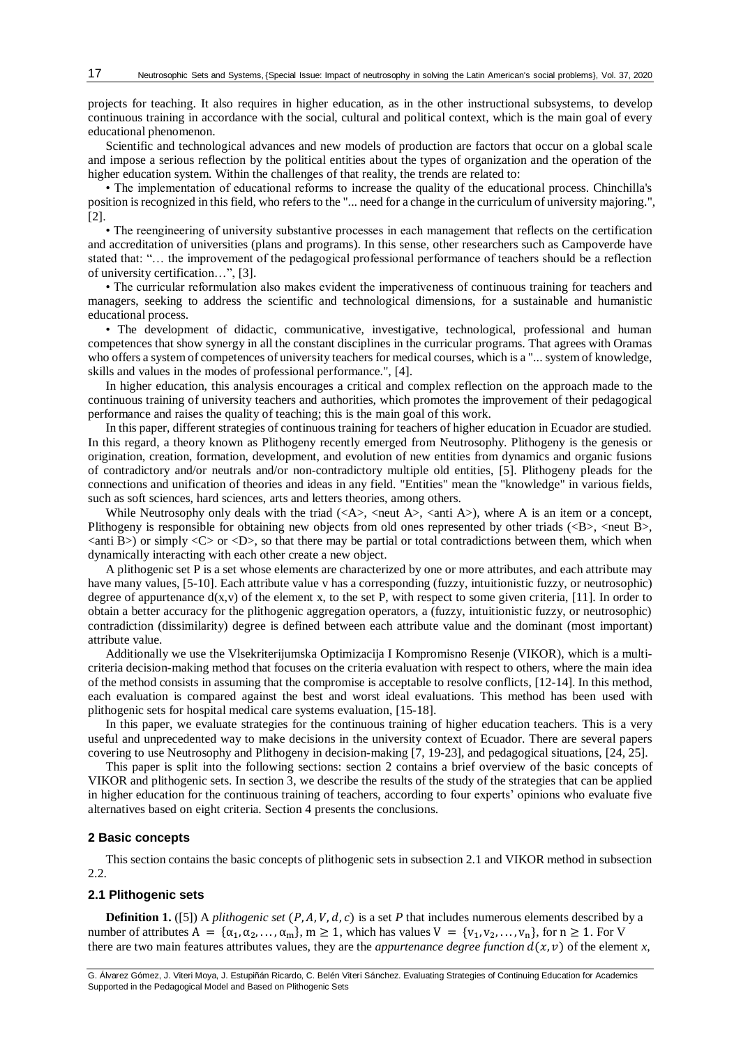projects for teaching. It also requires in higher education, as in the other instructional subsystems, to develop continuous training in accordance with the social, cultural and political context, which is the main goal of every educational phenomenon.

Scientific and technological advances and new models of production are factors that occur on a global scale and impose a serious reflection by the political entities about the types of organization and the operation of the higher education system. Within the challenges of that reality, the trends are related to:

• The implementation of educational reforms to increase the quality of the educational process. Chinchilla's position is recognized in this field, who refers to the "... need for a change in the curriculum of university majoring.", [2].

• The reengineering of university substantive processes in each management that reflects on the certification and accreditation of universities (plans and programs). In this sense, other researchers such as Campoverde have stated that: "… the improvement of the pedagogical professional performance of teachers should be a reflection of university certification…", [3].

• The curricular reformulation also makes evident the imperativeness of continuous training for teachers and managers, seeking to address the scientific and technological dimensions, for a sustainable and humanistic educational process.

• The development of didactic, communicative, investigative, technological, professional and human competences that show synergy in all the constant disciplines in the curricular programs. That agrees with Oramas who offers a system of competences of university teachers for medical courses, which is a "... system of knowledge, skills and values in the modes of professional performance.", [4].

In higher education, this analysis encourages a critical and complex reflection on the approach made to the continuous training of university teachers and authorities, which promotes the improvement of their pedagogical performance and raises the quality of teaching; this is the main goal of this work.

In this paper, different strategies of continuous training for teachers of higher education in Ecuador are studied. In this regard, a theory known as Plithogeny recently emerged from Neutrosophy. Plithogeny is the genesis or origination, creation, formation, development, and evolution of new entities from dynamics and organic fusions of contradictory and/or neutrals and/or non-contradictory multiple old entities, [5]. Plithogeny pleads for the connections and unification of theories and ideas in any field. "Entities" mean the "knowledge" in various fields, such as soft sciences, hard sciences, arts and letters theories, among others.

While Neutrosophy only deals with the triad  $(\langle A \rangle, \langle \text{neut } A \rangle, \langle \text{anti } A \rangle)$ , where A is an item or a concept, Plithogeny is responsible for obtaining new objects from old ones represented by other triads  $\langle \langle B \rangle$ ,  $\langle \langle B \rangle$ ,  $\langle$ anti B $\rangle$ ) or simply  $\langle$ C $\rangle$  or  $\langle$ D $\rangle$ , so that there may be partial or total contradictions between them, which when dynamically interacting with each other create a new object.

A plithogenic set P is a set whose elements are characterized by one or more attributes, and each attribute may have many values, [5-10]. Each attribute value v has a corresponding (fuzzy, intuitionistic fuzzy, or neutrosophic) degree of appurtenance  $d(x, v)$  of the element x, to the set P, with respect to some given criteria, [11]. In order to obtain a better accuracy for the plithogenic aggregation operators, a (fuzzy, intuitionistic fuzzy, or neutrosophic) contradiction (dissimilarity) degree is defined between each attribute value and the dominant (most important) attribute value.

Additionally we use the Vlsekriterijumska Optimizacija I Kompromisno Resenje (VIKOR), which is a multicriteria decision-making method that focuses on the criteria evaluation with respect to others, where the main idea of the method consists in assuming that the compromise is acceptable to resolve conflicts, [12-14]. In this method, each evaluation is compared against the best and worst ideal evaluations. This method has been used with plithogenic sets for hospital medical care systems evaluation, [15-18].

In this paper, we evaluate strategies for the continuous training of higher education teachers. This is a very useful and unprecedented way to make decisions in the university context of Ecuador. There are several papers covering to use Neutrosophy and Plithogeny in decision-making [7, 19-23], and pedagogical situations, [24, 25].

This paper is split into the following sections: section 2 contains a brief overview of the basic concepts of VIKOR and plithogenic sets. In section 3, we describe the results of the study of the strategies that can be applied in higher education for the continuous training of teachers, according to four experts' opinions who evaluate five alternatives based on eight criteria. Section 4 presents the conclusions.

## **2 Basic concepts**

This section contains the basic concepts of plithogenic sets in subsection 2.1 and VIKOR method in subsection 2.2.

#### **2.1 Plithogenic sets**

**Definition 1.** ([5]) A *plithogenic set*  $(P, A, V, d, c)$  is a set *P* that includes numerous elements described by a number of attributes  $A = {\alpha_1, \alpha_2, ..., \alpha_m}$ ,  $m \ge 1$ , which has values  $V = {v_1, v_2, ..., v_n}$ , for  $n \ge 1$ . For V there are two main features attributes values, they are the *appurtenance degree function*  $d(x, v)$  of the element *x*,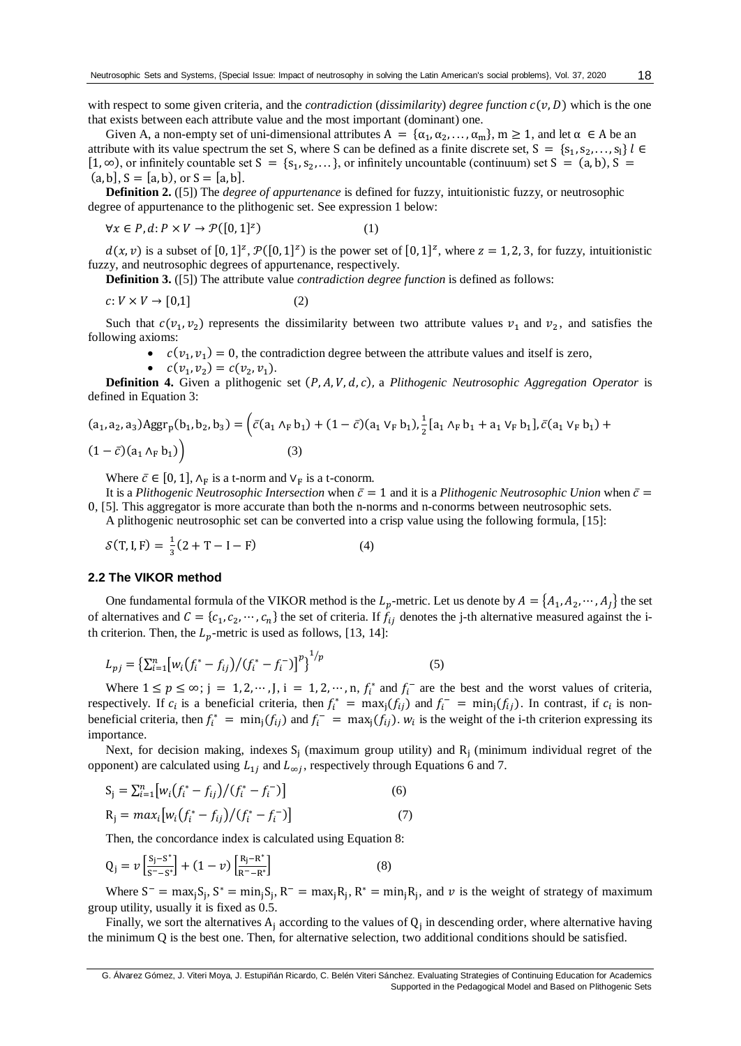with respect to some given criteria, and the *contradiction* (*dissimilarity*) *degree function*  $c(v, D)$  which is the one that exists between each attribute value and the most important (dominant) one.

Given A, a non-empty set of uni-dimensional attributes  $A = {\alpha_1, \alpha_2, ..., \alpha_m}$ ,  $m \ge 1$ , and let  $\alpha \in A$  be an attribute with its value spectrum the set S, where S can be defined as a finite discrete set,  $S = \{s_1, s_2, \ldots, s_l\}$   $l \in$  $[1, \infty)$ , or infinitely countable set S = {s<sub>1</sub>, s<sub>2</sub>, ...}, or infinitely uncountable (continuum) set S = (a, b), S =  $(a, b], S = [a, b),$  or  $S = [a, b].$ 

**Definition 2.** ([5]) The *degree of appurtenance* is defined for fuzzy, intuitionistic fuzzy, or neutrosophic degree of appurtenance to the plithogenic set. See expression 1 below:

$$
\forall x \in P, d: P \times V \to \mathcal{P}([0,1]^z) \tag{1}
$$

 $d(x, v)$  is a subset of  $[0, 1]^z$ ,  $\mathcal{P}([0, 1]^z)$  is the power set of  $[0, 1]^z$ , where  $z = 1, 2, 3$ , for fuzzy, intuitionistic fuzzy, and neutrosophic degrees of appurtenance, respectively.

**Definition 3.** ([5]) The attribute value *contradiction degree function* is defined as follows:

$$
c: V \times V \to [0,1] \tag{2}
$$

Such that  $c(v_1, v_2)$  represents the dissimilarity between two attribute values  $v_1$  and  $v_2$ , and satisfies the following axioms:

•  $c(v_1, v_1) = 0$ , the contradiction degree between the attribute values and itself is zero,

•  $c(v_1, v_2) = c(v_2, v_1).$ 

**Definition 4.** Given a plithogenic set  $(P, A, V, d, c)$ , a *Plithogenic Neutrosophic Aggregation Operator* is defined in Equation 3:

$$
(a_1, a_2, a_3) \text{Aggr}_p(b_1, b_2, b_3) = \left(\bar{c}(a_1 \wedge_F b_1) + (1 - \bar{c})(a_1 \vee_F b_1), \frac{1}{2}[a_1 \wedge_F b_1 + a_1 \vee_F b_1], \bar{c}(a_1 \vee_F b_1) + (1 - \bar{c})(a_1 \wedge_F b_1)\right)
$$
\n(3)

Where  $\bar{c} \in [0, 1]$ ,  $\Lambda_F$  is a t-norm and  $V_F$  is a t-conorm.

It is a *Plithogenic Neutrosophic Intersection* when  $\bar{c} = 1$  and it is a *Plithogenic Neutrosophic Union* when  $\bar{c} =$ 0, [5]*.* This aggregator is more accurate than both the n-norms and n-conorms between neutrosophic sets.

A plithogenic neutrosophic set can be converted into a crisp value using the following formula, [15]:

$$
S(T, I, F) = \frac{1}{3}(2 + T - I - F)
$$
 (4)

#### **2.2 The VIKOR method**

One fundamental formula of the VIKOR method is the  $L_p$ -metric. Let us denote by  $A = \{A_1, A_2, \dots, A_J\}$  the set of alternatives and  $C = \{c_1, c_2, \dots, c_n\}$  the set of criteria. If  $f_{ij}$  denotes the j-th alternative measured against the ith criterion. Then, the  $L_n$ -metric is used as follows, [13, 14]:

$$
L_{pj} = \left\{ \sum_{i=1}^{n} \left[ w_i \left( f_i^* - f_{ij} \right) / \left( f_i^* - f_i^- \right) \right]^p \right\}^{1/p} \tag{5}
$$

Where  $1 \le p \le \infty$ ; j = 1, 2, …, J, i = 1, 2, …, n,  $f_i^*$  and  $f_i^-$  are the best and the worst values of criteria, respectively. If  $c_i$  is a beneficial criteria, then  $f_i^* = \max_j (f_{ij})$  and  $f_i^- = \min_j (f_{ij})$ . In contrast, if  $c_i$  is nonbeneficial criteria, then  $f_i^* = \min_j (f_{ij})$  and  $f_i^- = \max_j (f_{ij})$ .  $w_i$  is the weight of the i-th criterion expressing its importance.

Next, for decision making, indexes  $S_j$  (maximum group utility) and  $R_j$  (minimum individual regret of the opponent) are calculated using  $L_{1j}$  and  $L_{\infty j}$ , respectively through Equations 6 and 7.

$$
S_{j} = \sum_{i=1}^{n} [w_{i}(f_{i}^{*} - f_{ij})/(f_{i}^{*} - f_{i}^{-})]
$$
\n
$$
R_{j} = max_{i}[w_{i}(f_{i}^{*} - f_{ij})/(f_{i}^{*} - f_{i}^{-})]
$$
\n(7)

Then, the concordance index is calculated using Equation 8:

$$
Q_j = \nu \left[ \frac{S_j - S^*}{S^* - S^*} \right] + (1 - \nu) \left[ \frac{R_j - R^*}{R^* - R^*} \right] \tag{8}
$$

Where  $S^-$  = max<sub>j</sub>S<sub>j</sub>,  $S^*$  = min<sub>j</sub>S<sub>j</sub>, R<sup>-</sup> = max<sub>j</sub>R<sub>j</sub>, R<sup>\*</sup> = min<sub>j</sub>R<sub>j</sub>, and v is the weight of strategy of maximum group utility, usually it is fixed as 0.5.

Finally, we sort the alternatives  $A_j$  according to the values of  $Q_j$  in descending order, where alternative having the minimum Q is the best one. Then, for alternative selection, two additional conditions should be satisfied.

G. Álvarez Gómez, J. Viteri Moya, J. Estupiñán Ricardo, C. Belén Viteri Sánchez. Evaluating Strategies of Continuing Education for Academics Supported in the Pedagogical Model and Based on Plithogenic Sets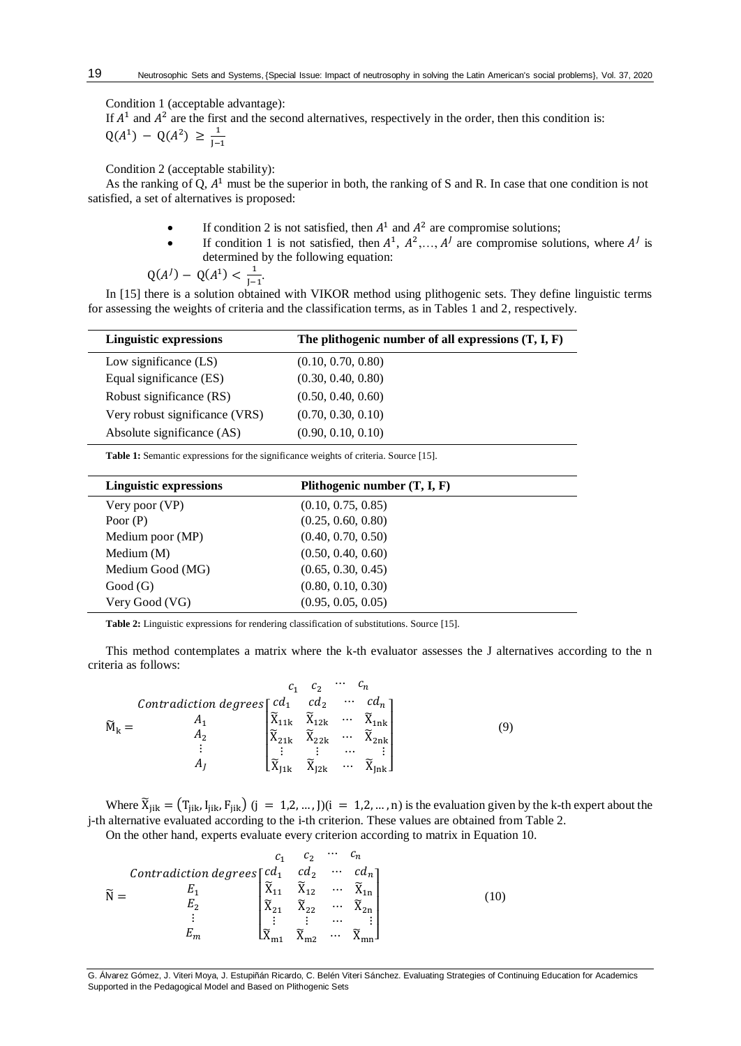Condition 1 (acceptable advantage):

J−1

If  $A<sup>1</sup>$  and  $A<sup>2</sup>$  are the first and the second alternatives, respectively in the order, then this condition is:  $Q(A^1) - Q(A^2) \geq \frac{1}{1}$ 

Condition 2 (acceptable stability):

As the ranking of Q,  $A<sup>1</sup>$  must be the superior in both, the ranking of S and R. In case that one condition is not satisfied, a set of alternatives is proposed:

- If condition 2 is not satisfied, then  $A^1$  and  $A^2$  are compromise solutions;
- If condition 1 is not satisfied, then  $A^1$ ,  $A^2$ ,...,  $A^j$  are compromise solutions, where  $A^j$  is determined by the following equation:

$$
Q(A^{J}) - Q(A^{1}) < \frac{1}{J-1}
$$

In [15] there is a solution obtained with VIKOR method using plithogenic sets. They define linguistic terms for assessing the weights of criteria and the classification terms, as in Tables 1 and 2, respectively.

| <b>Linguistic expressions</b>  | The plithogenic number of all expressions $(T, I, F)$ |
|--------------------------------|-------------------------------------------------------|
| Low significance $(LS)$        | (0.10, 0.70, 0.80)                                    |
| Equal significance (ES)        | (0.30, 0.40, 0.80)                                    |
| Robust significance (RS)       | (0.50, 0.40, 0.60)                                    |
| Very robust significance (VRS) | (0.70, 0.30, 0.10)                                    |
| Absolute significance (AS)     | (0.90, 0.10, 0.10)                                    |

**Table 1:** Semantic expressions for the significance weights of criteria. Source [15].

.

| <b>Linguistic expressions</b> | Plithogenic number $(T, I, F)$ |  |
|-------------------------------|--------------------------------|--|
| Very poor (VP)                | (0.10, 0.75, 0.85)             |  |
| Poor $(P)$                    | (0.25, 0.60, 0.80)             |  |
| Medium poor (MP)              | (0.40, 0.70, 0.50)             |  |
| Medium $(M)$                  | (0.50, 0.40, 0.60)             |  |
| Medium Good (MG)              | (0.65, 0.30, 0.45)             |  |
| Good(G)                       | (0.80, 0.10, 0.30)             |  |
| Very Good (VG)                | (0.95, 0.05, 0.05)             |  |

**Table 2:** Linguistic expressions for rendering classification of substitutions. Source [15].

This method contemplates a matrix where the k-th evaluator assesses the J alternatives according to the n criteria as follows:

|                                            |                                         | $\mathcal{C}_2$                         | $\cdots$             |        |  |
|--------------------------------------------|-----------------------------------------|-----------------------------------------|----------------------|--------|--|
| Contradiction degrees $\lceil cd_1 \rceil$ |                                         | $cd_2$                                  | $\cdots$             |        |  |
|                                            | $\widetilde{X}_{11k}$                   | $\widetilde{\mathbf{X}}_{12\mathbf{k}}$ | $\cdots$             |        |  |
| А٥                                         | $\widetilde{\mathbf{X}}_{21\mathbf{k}}$ | $\widetilde{X}_{22k}$                   | $\cdots$             | $-2nk$ |  |
| Aı                                         | $\widetilde{\mathbf{X}}$                | $\widetilde{X}_{12k}$                   | $\cdots$<br>$\cdots$ |        |  |
|                                            | I1k                                     |                                         |                      |        |  |

Where  $\widetilde{X}_{jik} = (T_{jik}, I_{jik}, F_{jik})$   $(j = 1, 2, ..., J)$  $(i = 1, 2, ..., n)$  is the evaluation given by the k-th expert about the j-th alternative evaluated according to the i-th criterion. These values are obtained from Table 2.

On the other hand, experts evaluate every criterion according to matrix in Equation 10.

|                                                       |                               | $\mathcal{C}_{2}$ | $\cdots$ |                                           |  |
|-------------------------------------------------------|-------------------------------|-------------------|----------|-------------------------------------------|--|
| Contradiction degrees $\lceil cd_1 \quad cd_2 \rceil$ |                               |                   | $\cdots$ |                                           |  |
| $E_{1}$                                               | $\widetilde{\mathrm{X}}_{11}$ |                   |          | $\tilde{X}_{12}$ $\tilde{X}_{1n}$         |  |
|                                                       | $\widetilde{X}_{21}$          | $\Lambda$ วว      |          | $\widetilde{X}_{22}$ $\widetilde{X}_{2n}$ |  |
| ٠                                                     |                               |                   | $\cdots$ |                                           |  |
|                                                       |                               |                   | $\cdots$ |                                           |  |

G. Álvarez Gómez, J. Viteri Moya, J. Estupiñán Ricardo, C. Belén Viteri Sánchez. Evaluating Strategies of Continuing Education for Academics Supported in the Pedagogical Model and Based on Plithogenic Sets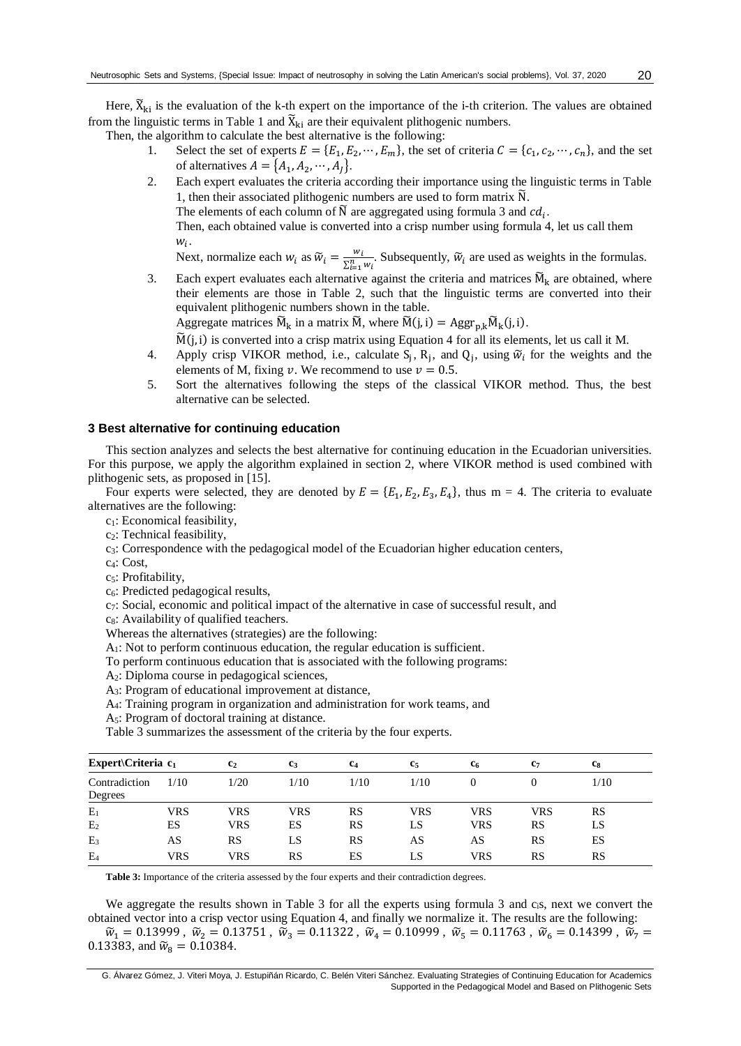Here,  $\widetilde{X}_{ki}$  is the evaluation of the k-th expert on the importance of the i-th criterion. The values are obtained from the linguistic terms in Table 1 and  $\tilde{X}_{ki}$  are their equivalent plithogenic numbers.

Then, the algorithm to calculate the best alternative is the following:

- 1. Select the set of experts  $E = \{E_1, E_2, \dots, E_m\}$ , the set of criteria  $C = \{c_1, c_2, \dots, c_n\}$ , and the set of alternatives  $A = \{A_1, A_2, \dots, A_J\}.$
- 2. Each expert evaluates the criteria according their importance using the linguistic terms in Table 1, then their associated plithogenic numbers are used to form matrix  $\tilde{N}$ .

The elements of each column of  $\widetilde{N}$  are aggregated using formula 3 and  $cd_i$ .

Then, each obtained value is converted into a crisp number using formula 4, let us call them  $w_i$ .

Next, normalize each  $w_i$  as  $\widetilde{w}_i = \frac{w_i}{\Sigma^n}$  $\frac{w_i}{\sum_{i=1}^n w_i}$ . Subsequently,  $\widetilde{w}_i$  are used as weights in the formulas.

3. Each expert evaluates each alternative against the criteria and matrices  $\widetilde{M}_k$  are obtained, where their elements are those in Table 2, such that the linguistic terms are converted into their equivalent plithogenic numbers shown in the table.

Aggregate matrices  $\widetilde{M}_k$  in a matrix  $\widetilde{M}$ , where  $\widetilde{M}(j,i) = \text{Aggr}_{p,k} \widetilde{M}_k(j,i)$ .

 $\widetilde{M}(j,i)$  is converted into a crisp matrix using Equation 4 for all its elements, let us call it M.

- 4. Apply crisp VIKOR method, i.e., calculate  $S_j$ ,  $R_j$ , and  $Q_j$ , using  $\tilde{w}_i$  for the weights and the elements of M, fixing  $\nu$ . We recommend to use  $\nu = 0.5$ .
- 5. Sort the alternatives following the steps of the classical VIKOR method. Thus, the best alternative can be selected.

#### **3 Best alternative for continuing education**

This section analyzes and selects the best alternative for continuing education in the Ecuadorian universities. For this purpose, we apply the algorithm explained in section 2, where VIKOR method is used combined with plithogenic sets, as proposed in [15].

Four experts were selected, they are denoted by  $E = \{E_1, E_2, E_3, E_4\}$ , thus  $m = 4$ . The criteria to evaluate alternatives are the following:

c1: Economical feasibility,

c2: Technical feasibility,

 $c_3$ : Correspondence with the pedagogical model of the Ecuadorian higher education centers,

c4: Cost,

c<sub>5</sub>: Profitability,

c6: Predicted pedagogical results,

 $c_7$ : Social, economic and political impact of the alternative in case of successful result, and

 $c_8$ : Availability of qualified teachers.

Whereas the alternatives (strategies) are the following:

A1: Not to perform continuous education, the regular education is sufficient.

To perform continuous education that is associated with the following programs:

A2: Diploma course in pedagogical sciences,

A3: Program of educational improvement at distance,

A4: Training program in organization and administration for work teams, and

A5: Program of doctoral training at distance.

Table 3 summarizes the assessment of the criteria by the four experts.

| Expert $\C$ riteria $c_1$ |      | c <sub>2</sub> | c <sub>3</sub> | c <sub>4</sub> | c <sub>5</sub> | <b>C</b> 6 | C7  | C8   |
|---------------------------|------|----------------|----------------|----------------|----------------|------------|-----|------|
| Contradiction<br>Degrees  | 1/10 | 1/20           | 1/10           | 1/10           | 1/10           |            |     | 1/10 |
| $E_1$                     | VRS  | VRS            | VRS            | RS             | VRS            | VRS        | VRS | RS   |
| E <sub>2</sub>            | ES   | VRS            | ES             | RS             | LS.            | VRS        | RS  | LS   |
| E <sub>3</sub>            | AS   | RS             | LS.            | RS             | AS             | AS         | RS  | ES   |
| E <sub>4</sub>            | VRS  | VRS            | RS             | ES             | LS             | VRS        | RS  | RS   |

**Table 3:** Importance of the criteria assessed by the four experts and their contradiction degrees.

We aggregate the results shown in Table 3 for all the experts using formula 3 and c<sub>i</sub>s, next we convert the obtained vector into a crisp vector using Equation 4, and finally we normalize it. The results are the following:  $\widetilde{w}_1 = 0.13999$ ,  $\widetilde{w}_2 = 0.13751$ ,  $\widetilde{w}_3 = 0.11322$ ,  $\widetilde{w}_4 = 0.10999$ ,  $\widetilde{w}_5 = 0.11763$ ,  $\widetilde{w}_6 = 0.14399$ ,  $\widetilde{w}_7 = 0.14399$ 0.13383, and  $\widetilde{w}_8 = 0.10384$ .

G. Álvarez Gómez, J. Viteri Moya, J. Estupiñán Ricardo, C. Belén Viteri Sánchez. Evaluating Strategies of Continuing Education for Academics Supported in the Pedagogical Model and Based on Plithogenic Sets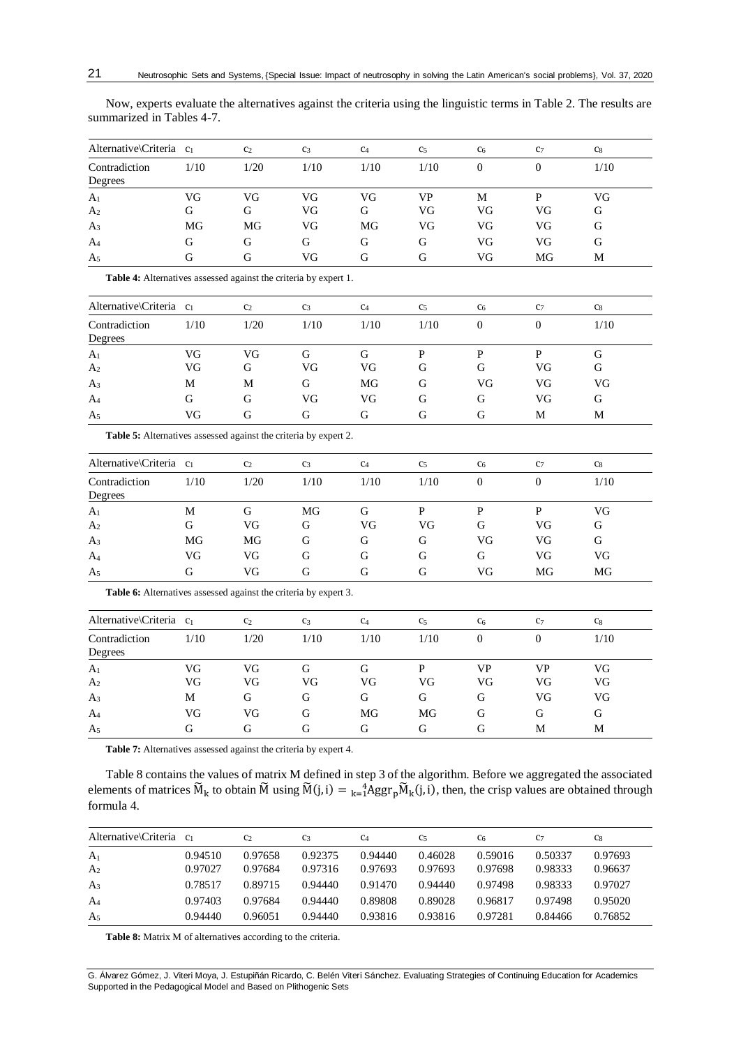| Now, experts evaluate the alternatives against the criteria using the linguistic terms in Table 2. The results are |  |  |  |
|--------------------------------------------------------------------------------------------------------------------|--|--|--|
| summarized in Tables 4-7.                                                                                          |  |  |  |

| Alternative\Criteria c1          |         | C <sub>2</sub> | C <sub>3</sub> | C <sub>4</sub> | C <sub>5</sub> | C <sub>6</sub> | C <sub>7</sub> | C8      |
|----------------------------------|---------|----------------|----------------|----------------|----------------|----------------|----------------|---------|
| Contradiction<br>Degrees         | 1/10    | 1/20           | 1/10           | 1/10           | 1/10           | $_{0}$         |                | 1/10    |
| A <sub>1</sub><br>A <sub>2</sub> | VG<br>G | VG<br>G        | VG<br>VG       | VG<br>G        | VP<br>VG       | М<br>VG        | VG             | VG<br>G |
| A <sub>3</sub>                   | MG      | MG             | VG             | MG             | VG             | VG             | VG             | G       |
| $A_4$                            | G       | G              | G              | G              | G              | VG             | VG             | G       |
| A <sub>5</sub>                   | G       | G              | VG             | G              | G              | VG             | MG             | M       |

**Table 4:** Alternatives assessed against the criteria by expert 1.

| Alternative\Criteria c <sub>1</sub> |      | C <sub>2</sub> | C <sub>3</sub> | C <sub>4</sub> | C <sub>5</sub> | c <sub>6</sub> | C <sub>7</sub> | c <sub>8</sub> |  |
|-------------------------------------|------|----------------|----------------|----------------|----------------|----------------|----------------|----------------|--|
| Contradiction<br>Degrees            | 1/10 | 1/20           | 1/10           | 1/10           | 1/10           | 0              |                | 1/10           |  |
| A <sub>1</sub>                      | VG   | VG             |                | G              |                |                |                | G              |  |
| A <sub>2</sub>                      | VG   | G              | VG             | VG             | G              | G              | VG             | G              |  |
| A <sub>3</sub>                      | М    | M              | G              | MG             | G              | VG             | VG             | VG             |  |
| $A_4$                               | G    | G              | VG             | VG             | G              | G              | VG             | G              |  |
| A <sub>5</sub>                      | VG   | G              | G              | G              | G              | G              | М              | М              |  |

**Table 5:** Alternatives assessed against the criteria by expert 2.

| Alternative\Criteria c <sub>1</sub> |      | C <sub>2</sub> | C <sub>3</sub> | C <sub>4</sub> | C <sub>5</sub> | C <sub>6</sub> | C <sub>7</sub> | c <sub>8</sub> |  |
|-------------------------------------|------|----------------|----------------|----------------|----------------|----------------|----------------|----------------|--|
| Contradiction<br>Degrees            | 1/10 | 1/20           | 1/10           | 1/10           | 1/10           | $\theta$       | 0              | 1/10           |  |
| A <sub>1</sub>                      | M    | G              | MG             | G              | P              | P              | P              | VG             |  |
| A <sub>2</sub>                      | G    | VG             | G              | VG             | VG             | G              | VG             | G              |  |
| $A_3$                               | MG   | MG             | G              | G              | G              | VG             | VG             | G              |  |
| A <sub>4</sub>                      | VG   | VG             | G              | G              | G              | G              | VG             | VG             |  |
| A <sub>5</sub>                      | G    | VG             | G              | G              | G              | VG             | MG             | MG             |  |

**Table 6:** Alternatives assessed against the criteria by expert 3.

| Alternative\Criteria c <sub>1</sub> |      | C <sub>2</sub> | C <sub>3</sub> | C <sub>4</sub> | C <sub>5</sub> | c <sub>6</sub> | C <sub>7</sub> | C <sub>8</sub> |
|-------------------------------------|------|----------------|----------------|----------------|----------------|----------------|----------------|----------------|
| Contradiction<br>Degrees            | 1/10 | 1/20           | 1/10           | 1/10           | 1/10           |                | 0              | 1/10           |
| A <sub>1</sub>                      | VG   | VG             | G              | G              |                | VP             | VP             | VG             |
| A <sub>2</sub>                      | VG   | VG             | VG             | VG             | VG             | VG             | VG             | VG             |
| $A_3$                               | М    | G              | G              | G              | G              | G              | VG             | VG             |
| $A_4$                               | VG   | VG             | G              | MG             | MG             | G              | G              | G              |
| A <sub>5</sub>                      | G    | G              | G              | G              | G              | G              | М              | M              |

**Table 7:** Alternatives assessed against the criteria by expert 4.

Table 8 contains the values of matrix M defined in step 3 of the algorithm. Before we aggregated the associated elements of matrices  $\widetilde{M}_k$  to obtain  $\widetilde{M}$  using  $\widetilde{M}(j,i) = \frac{4}{k-1}Aggr_p \widetilde{M}_k(j,i)$ , then, the crisp values are obtained through formula 4.

| Alternative\Criteria c <sub>1</sub> |         | C <sub>2</sub> | C <sub>3</sub> | C <sub>4</sub> | C <sub>5</sub> | C <sub>6</sub> | C <sub>7</sub> | C8      |
|-------------------------------------|---------|----------------|----------------|----------------|----------------|----------------|----------------|---------|
| A <sub>1</sub>                      | 0.94510 | 0.97658        | 0.92375        | 0.94440        | 0.46028        | 0.59016        | 0.50337        | 0.97693 |
| A <sub>2</sub>                      | 0.97027 | 0.97684        | 0.97316        | 0.97693        | 0.97693        | 0.97698        | 0.98333        | 0.96637 |
| $A_3$                               | 0.78517 | 0.89715        | 0.94440        | 0.91470        | 0.94440        | 0.97498        | 0.98333        | 0.97027 |
| $A_4$                               | 0.97403 | 0.97684        | 0.94440        | 0.89808        | 0.89028        | 0.96817        | 0.97498        | 0.95020 |
| A <sub>5</sub>                      | 0.94440 | 0.96051        | 0.94440        | 0.93816        | 0.93816        | 0.97281        | 0.84466        | 0.76852 |

**Table 8:** Matrix M of alternatives according to the criteria.

G. Álvarez Gómez, J. Viteri Moya, J. Estupiñán Ricardo, C. Belén Viteri Sánchez. Evaluating Strategies of Continuing Education for Academics Supported in the Pedagogical Model and Based on Plithogenic Sets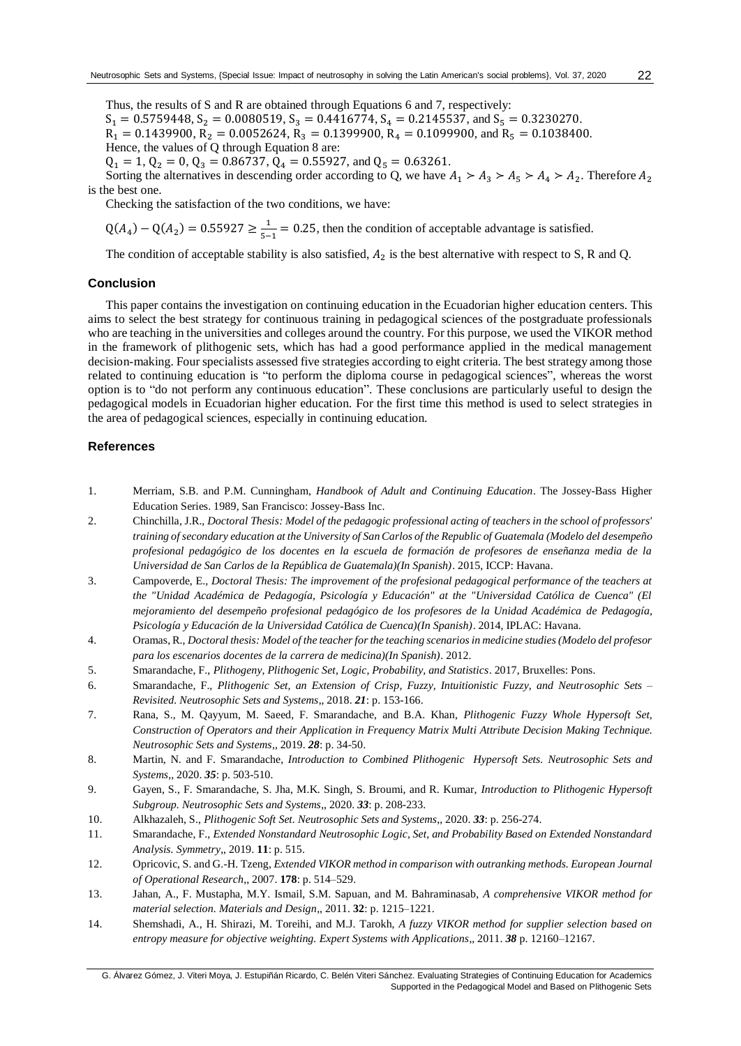22

Thus, the results of S and R are obtained through Equations 6 and 7, respectively:  $S_1 = 0.5759448$ ,  $S_2 = 0.0080519$ ,  $S_3 = 0.4416774$ ,  $S_4 = 0.2145537$ , and  $S_5 = 0.3230270$ .  $R_1 = 0.1439900$ ,  $R_2 = 0.0052624$ ,  $R_3 = 0.1399900$ ,  $R_4 = 0.1099900$ , and  $R_5 = 0.1038400$ .

Hence, the values of 
$$
Q
$$
 through Equation 8 are:

 $Q_1 = 1$ ,  $Q_2 = 0$ ,  $Q_3 = 0.86737$ ,  $Q_4 = 0.55927$ , and  $Q_5 = 0.63261$ .

Sorting the alternatives in descending order according to Q, we have  $A_1 > A_3 > A_5 > A_4 > A_2$ . Therefore  $A_2$ is the best one.

Checking the satisfaction of the two conditions, we have:

$$
Q(A_4) - Q(A_2) = 0.55927 \ge \frac{1}{5-1} = 0.25
$$
, then the condition of acceptable advantage is satisfied.

The condition of acceptable stability is also satisfied,  $A_2$  is the best alternative with respect to S, R and Q.

#### **Conclusion**

This paper contains the investigation on continuing education in the Ecuadorian higher education centers. This aims to select the best strategy for continuous training in pedagogical sciences of the postgraduate professionals who are teaching in the universities and colleges around the country. For this purpose, we used the VIKOR method in the framework of plithogenic sets, which has had a good performance applied in the medical management decision-making. Four specialists assessed five strategies according to eight criteria. The best strategy among those related to continuing education is "to perform the diploma course in pedagogical sciences", whereas the worst option is to "do not perform any continuous education". These conclusions are particularly useful to design the pedagogical models in Ecuadorian higher education. For the first time this method is used to select strategies in the area of pedagogical sciences, especially in continuing education.

### **References**

- 1. Merriam, S.B. and P.M. Cunningham, *Handbook of Adult and Continuing Education*. The Jossey-Bass Higher Education Series. 1989, San Francisco: Jossey-Bass Inc.
- 2. Chinchilla, J.R., *Doctoral Thesis: Model of the pedagogic professional acting of teachers in the school of professors' training of secondary education at the University of San Carlos of the Republic of Guatemala (Modelo del desempeño profesional pedagógico de los docentes en la escuela de formación de profesores de enseñanza media de la Universidad de San Carlos de la República de Guatemala)(In Spanish)*. 2015, ICCP: Havana.
- 3. Campoverde, E., *Doctoral Thesis: The improvement of the profesional pedagogical performance of the teachers at the "Unidad Académica de Pedagogía, Psicología y Educación" at the "Universidad Católica de Cuenca" (El mejoramiento del desempeño profesional pedagógico de los profesores de la Unidad Académica de Pedagogía, Psicología y Educación de la Universidad Católica de Cuenca)(In Spanish)*. 2014, IPLAC: Havana.
- 4. Oramas, R., *Doctoral thesis: Model of the teacher for the teaching scenarios in medicine studies (Modelo del profesor para los escenarios docentes de la carrera de medicina)(In Spanish)*. 2012.
- 5. Smarandache, F., *Plithogeny, Plithogenic Set, Logic, Probability, and Statistics*. 2017, Bruxelles: Pons.
- 6. Smarandache, F., *Plithogenic Set, an Extension of Crisp, Fuzzy, Intuitionistic Fuzzy, and Neutrosophic Sets – Revisited. Neutrosophic Sets and Systems*,, 2018. *21*: p. 153-166.
- 7. Rana, S., M. Qayyum, M. Saeed, F. Smarandache, and B.A. Khan, *Plithogenic Fuzzy Whole Hypersoft Set, Construction of Operators and their Application in Frequency Matrix Multi Attribute Decision Making Technique. Neutrosophic Sets and Systems*,, 2019. *28*: p. 34-50.
- 8. Martin, N. and F. Smarandache, *Introduction to Combined Plithogenic Hypersoft Sets. Neutrosophic Sets and Systems*,, 2020. *35*: p. 503-510.
- 9. Gayen, S., F. Smarandache, S. Jha, M.K. Singh, S. Broumi, and R. Kumar, *Introduction to Plithogenic Hypersoft Subgroup. Neutrosophic Sets and Systems*,, 2020. *33*: p. 208-233.
- 10. Alkhazaleh, S., *Plithogenic Soft Set. Neutrosophic Sets and Systems*,, 2020. *33*: p. 256-274.
- 11. Smarandache, F., *Extended Nonstandard Neutrosophic Logic, Set, and Probability Based on Extended Nonstandard Analysis. Symmetry*,, 2019. **11**: p. 515.
- 12. Opricovic, S. and G.-H. Tzeng, *Extended VIKOR method in comparison with outranking methods. European Journal of Operational Research*,, 2007. **178**: p. 514–529.
- 13. Jahan, A., F. Mustapha, M.Y. Ismail, S.M. Sapuan, and M. Bahraminasab, *A comprehensive VIKOR method for material selection. Materials and Design*,, 2011. **32**: p. 1215–1221.
- 14. Shemshadi, A., H. Shirazi, M. Toreihi, and M.J. Tarokh, *A fuzzy VIKOR method for supplier selection based on entropy measure for objective weighting. Expert Systems with Applications*,, 2011. *38* p. 12160–12167.

G. Álvarez Gómez, J. Viteri Moya, J. Estupiñán Ricardo, C. Belén Viteri Sánchez. Evaluating Strategies of Continuing Education for Academics Supported in the Pedagogical Model and Based on Plithogenic Sets